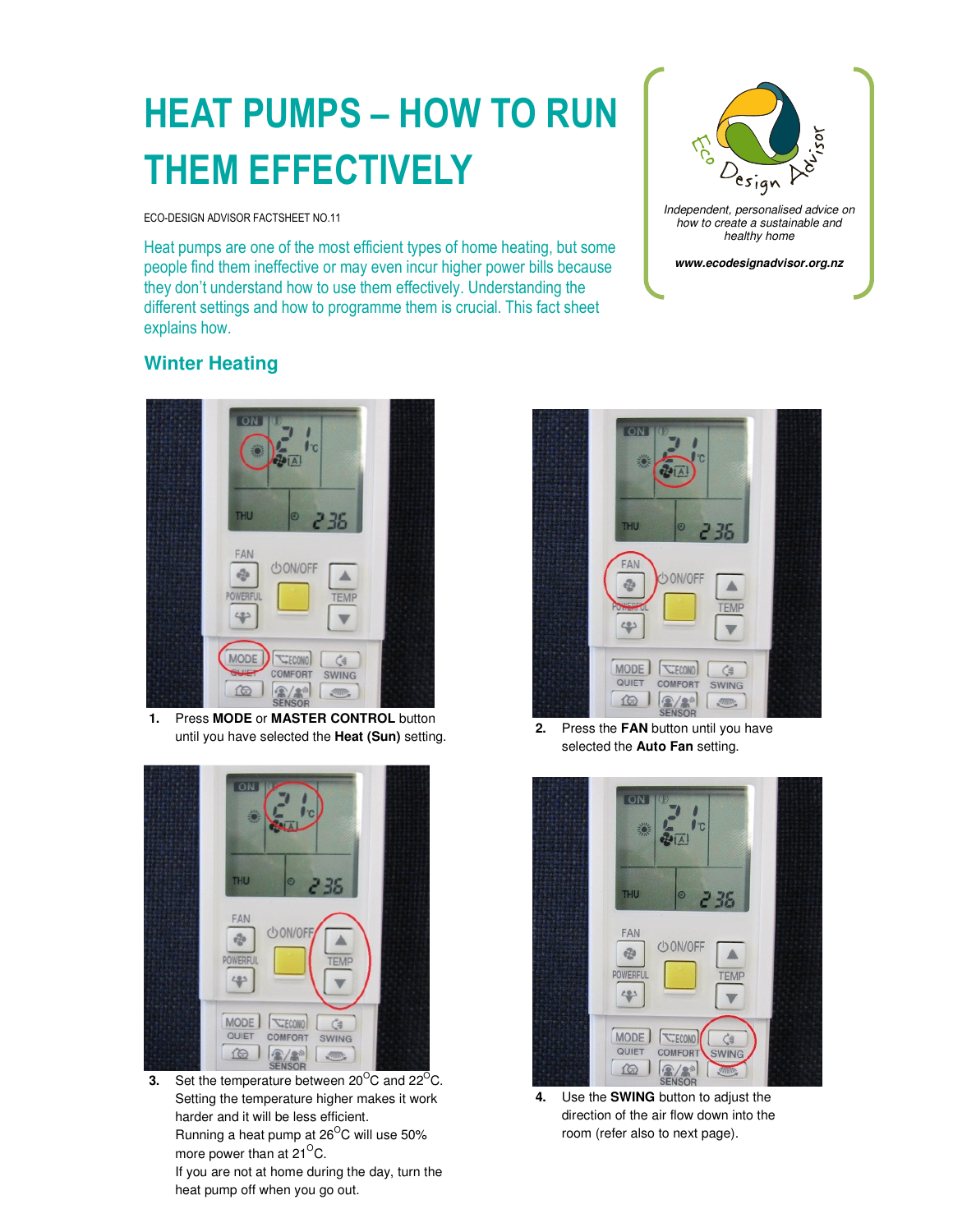# HEAT PUMPS – HOW TO RUN THEM EFFECTIVELY

ECO-DESIGN ADVISOR FACTSHEET NO.11

Heat pumps are one of the most efficient types of home heating, but some people find them ineffective or may even incur higher power bills because they don't understand how to use them effectively. Understanding the different settings and how to programme them is crucial. This fact sheet explains how.



## **Winter Heating**



**1.** Press **MODE** or **MASTER CONTROL** button until you have selected the **Heat (Sun)** setting.



**3.** Set the temperature between  $20^{\circ}$ C and  $22^{\circ}$ C. Setting the temperature higher makes it work harder and it will be less efficient. Running a heat pump at 26<sup>O</sup>C will use 50% more power than at  $21^{\circ}$ C.

If you are not at home during the day, turn the heat pump off when you go out.



**2.** Press the **FAN** button until you have selected the **Auto Fan** setting.



**4.** Use the **SWING** button to adjust the direction of the air flow down into the room (refer also to next page).